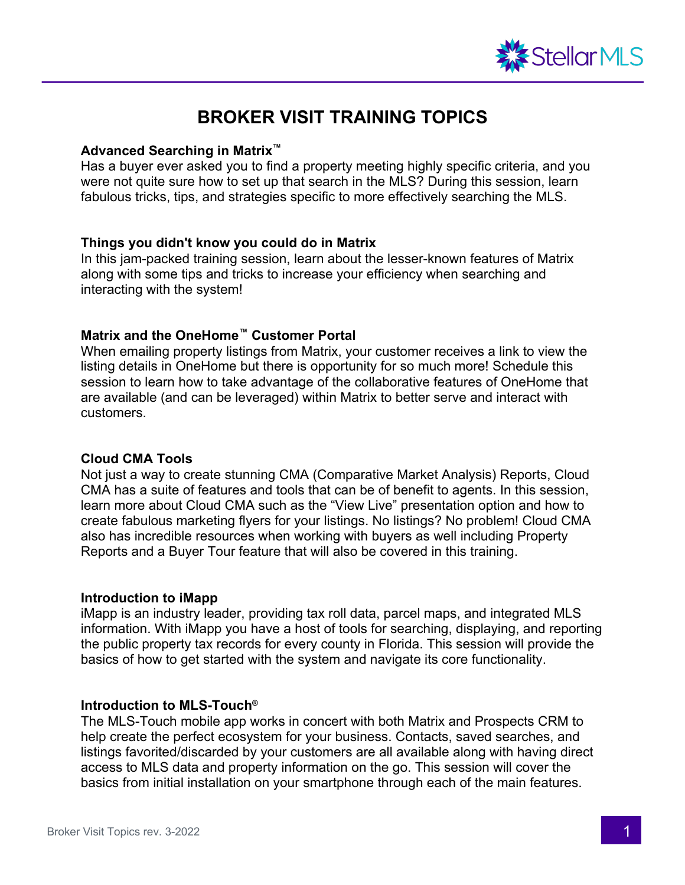

# **BROKER VISIT TRAINING TOPICS**

## **Advanced Searching in Matrix™**

Has a buyer ever asked you to find a property meeting highly specific criteria, and you were not quite sure how to set up that search in the MLS? During this session, learn fabulous tricks, tips, and strategies specific to more effectively searching the MLS.

## **Things you didn't know you could do in Matrix**

In this jam-packed training session, learn about the lesser-known features of Matrix along with some tips and tricks to increase your efficiency when searching and interacting with the system!

# **Matrix and the OneHome™ Customer Portal**

When emailing property listings from Matrix, your customer receives a link to view the listing details in OneHome but there is opportunity for so much more! Schedule this session to learn how to take advantage of the collaborative features of OneHome that are available (and can be leveraged) within Matrix to better serve and interact with customers.

## **Cloud CMA Tools**

Not just a way to create stunning CMA (Comparative Market Analysis) Reports, Cloud CMA has a suite of features and tools that can be of benefit to agents. In this session, learn more about Cloud CMA such as the "View Live" presentation option and how to create fabulous marketing flyers for your listings. No listings? No problem! Cloud CMA also has incredible resources when working with buyers as well including Property Reports and a Buyer Tour feature that will also be covered in this training.

## **Introduction to iMapp**

iMapp is an industry leader, providing tax roll data, parcel maps, and integrated MLS information. With iMapp you have a host of tools for searching, displaying, and reporting the public property tax records for every county in Florida. This session will provide the basics of how to get started with the system and navigate its core functionality.

## **Introduction to MLS-Touch®**

The MLS-Touch mobile app works in concert with both Matrix and Prospects CRM to help create the perfect ecosystem for your business. Contacts, saved searches, and listings favorited/discarded by your customers are all available along with having direct access to MLS data and property information on the go. This session will cover the basics from initial installation on your smartphone through each of the main features.